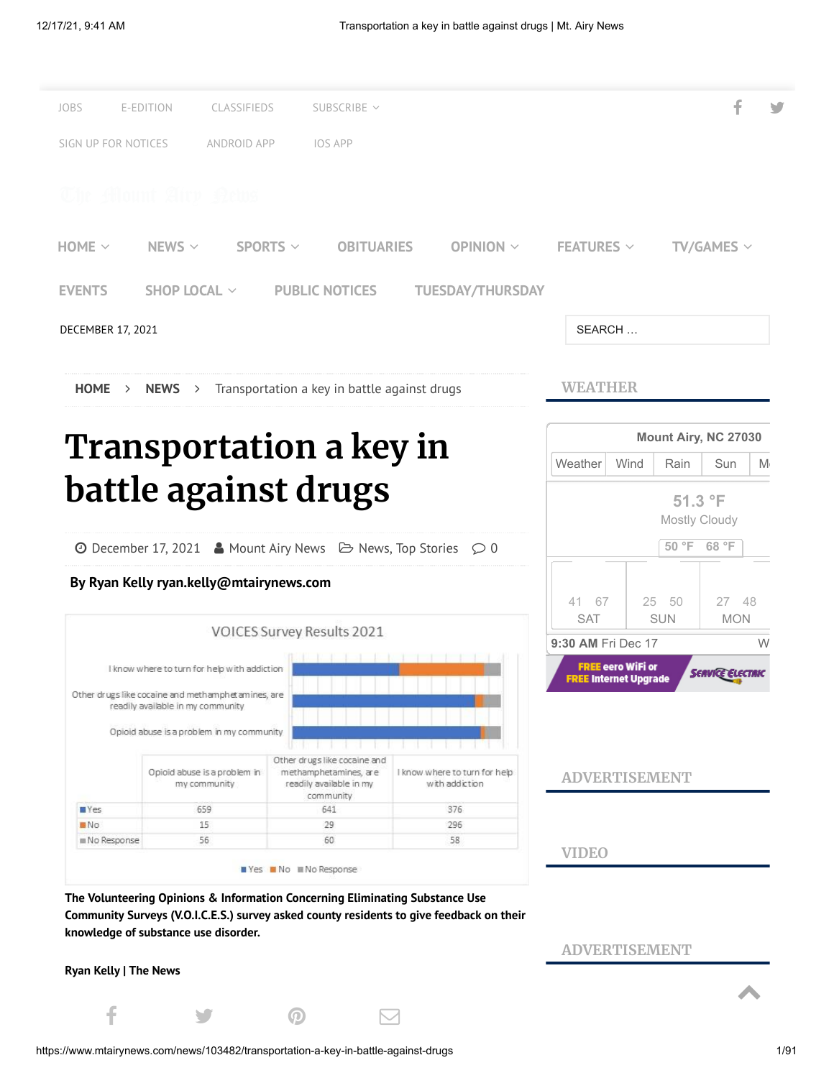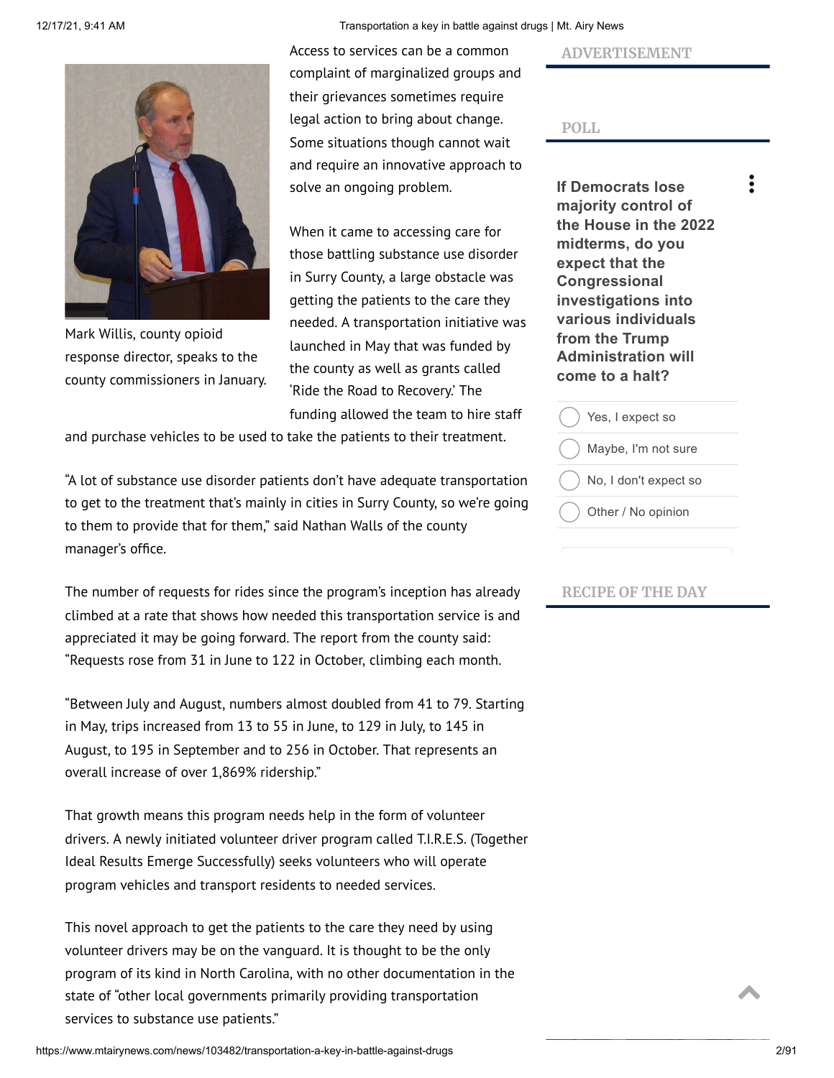

Mark Willis, county opioid response director, speaks to the county commissioners in January.

12/17/21, 9:41 AM Transportation a key in battle against drugs | Mt. Airy News

Access to services can be a common complaint of marginalized groups and their grievances sometimes require legal action to bring about change. Some situations though cannot wait and require an innovative approach to solve an ongoing problem.

When it came to accessing care for those battling substance use disorder in Surry County, a large obstacle was getting the patients to the care they needed. A transportation initiative was launched in May that was funded by the county as well as grants called 'Ride the Road to Recovery.' The funding allowed the team to hire staff

and purchase vehicles to be used to take the patients to their treatment.

"A lot of substance use disorder patients don't have adequate transportation to get to the treatment that's mainly in cities in Surry County, so we're going to them to provide that for them," said Nathan Walls of the county manager's office.

The number of requests for rides since the program's inception has already climbed at a rate that shows how needed this transportation service is and appreciated it may be going forward. The report from the county said: "Requests rose from 31 in June to 122 in October, climbing each month.

"Between July and August, numbers almost doubled from 41 to 79. Starting in May, trips increased from 13 to 55 in June, to 129 in July, to 145 in August, to 195 in September and to 256 in October. That represents an overall increase of over 1,869% ridership."

That growth means this program needs help in the form of volunteer drivers. A newly initiated volunteer driver program called T.I.R.E.S. (Together Ideal Results Emerge Successfully) seeks volunteers who will operate program vehicles and transport residents to needed services.

This novel approach to get the patients to the care they need by using volunteer drivers may be on the vanguard. It is thought to be the only program of its kind in North Carolina, with no other documentation in the state of "other local governments primarily providing transportation services to substance use patients."

**ADVERTISEMENT**



**If Democrats lose majority control of the House in the 2022 midterms, do you expect that the Congressional investigations into various individuals from the Trump Administration will come to a halt?**

 $\ddot{\cdot}$ 

| Yes, I expect so      |
|-----------------------|
| Maybe, I'm not sure   |
| No, I don't expect so |
| Other / No opinion    |
|                       |

## **RECIPE OF THE DAY**

https://www.mtairynews.com/news/103482/transportation-a-key-in-battle-against-drugs 2/91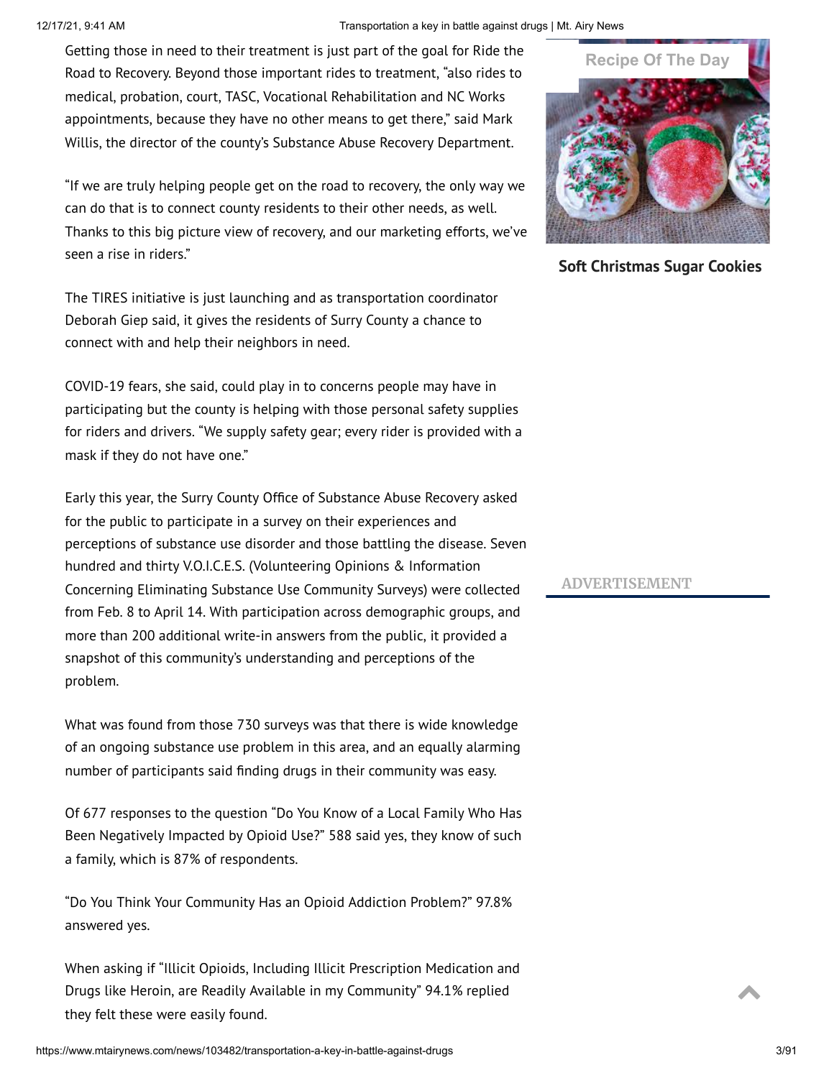## 12/17/21, 9:41 AM Transportation a key in battle against drugs | Mt. Airy News

Getting those in need to their treatment is just part of the goal for Ride the Road to Recovery. Beyond those important rides to treatment, "also rides to medical, probation, court, TASC, Vocational Rehabilitation and NC Works appointments, because they have no other means to get there," said Mark Willis, the director of the county's Substance Abuse Recovery Department.

"If we are truly helping people get on the road to recovery, the only way we can do that is to connect county residents to their other needs, as well. Thanks to this big picture view of recovery, and our marketing efforts, we've seen a rise in riders."

The TIRES initiative is just launching and as transportation coordinator Deborah Giep said, it gives the residents of Surry County a chance to connect with and help their neighbors in need.

COVID-19 fears, she said, could play in to concerns people may have in participating but the county is helping with those personal safety supplies for riders and drivers. "We supply safety gear; every rider is provided with a mask if they do not have one."

Early this year, the Surry County Office of Substance Abuse Recovery asked for the public to participate in a survey on their experiences and perceptions of substance use disorder and those battling the disease. Seven hundred and thirty V.O.I.C.E.S. (Volunteering Opinions & Information Concerning Eliminating Substance Use Community Surveys) were collected from Feb. 8 to April 14. With participation across demographic groups, and more than 200 additional write-in answers from the public, it provided a snapshot of this community's understanding and perceptions of the problem.

What was found from those 730 surveys was that there is wide knowledge of an ongoing substance use problem in this area, and an equally alarming number of participants said finding drugs in their community was easy.

Of 677 responses to the question "Do You Know of a Local Family Who Has Been Negatively Impacted by Opioid Use?" 588 said yes, they know of such a family, which is 87% of respondents.

"Do You Think Your Community Has an Opioid Addiction Problem?" 97.8% answered yes.

When asking if "Illicit Opioids, Including Illicit Prescription Medication and Drugs like Heroin, are Readily Available in my Community" 94.1% replied they felt these were easily found.



**Soft [Christmas](https://www.justapinch.com/recipes/dessert/cookies/soft-christmas-sugar-cookies.html?utm_source=Adams+Publishing+TN%2C+NC%2C+VA+%28TRX%29&utm_medium=curatorcrowd&utm_campaign=RTDX&utm_content=https%3A%2F%2Fwww.mtairynews.com%2F) Sugar Cookies**

## **ADVERTISEMENT**